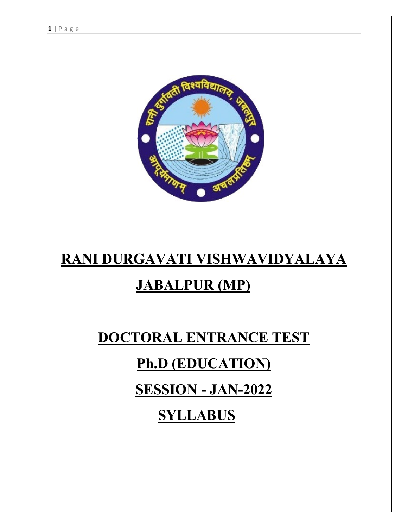

## **RANI DURGAVATI VISHWAVIDYALAYA**

## **JABALPUR (MP)**

# **DOCTORAL ENTRANCE TEST Ph.D (EDUCATION) SESSION - JAN-2022**

 **SYLLABUS**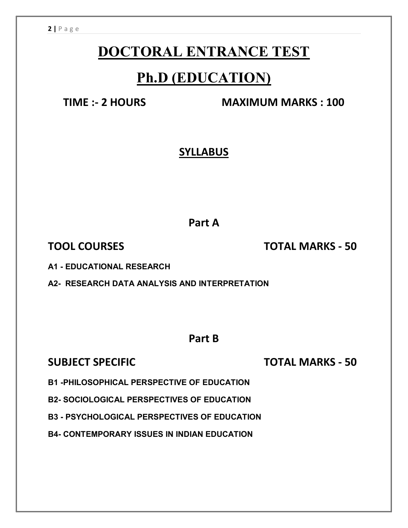### **DOCTORAL ENTRANCE TEST**

### **Ph.D (EDUCATION)**

**TIME :- 2 HOURS MAXIMUM MARKS : 100**

### **SYLLABUS**

**Part A**

**TOOL COURSES TOTAL MARKS - 50**

**A1 - EDUCATIONAL RESEARCH** 

**A2- RESEARCH DATA ANALYSIS AND INTERPRETATION**

**Part B**

**SUBJECT SPECIFIC TOTAL MARKS - 50**

**B1 -PHILOSOPHICAL PERSPECTIVE OF EDUCATION**

**B2- SOCIOLOGICAL PERSPECTIVES OF EDUCATION**

**B3 - PSYCHOLOGICAL PERSPECTIVES OF EDUCATION**

**B4- CONTEMPORARY ISSUES IN INDIAN EDUCATION**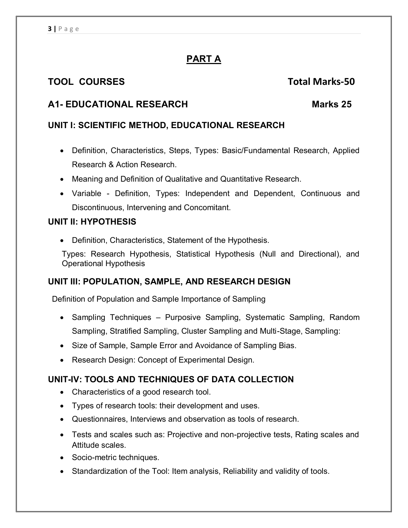### **PART A**

#### **TOOL COURSES Total Marks-50**

#### **A1- EDUCATIONAL RESEARCH Marks 25**

#### **UNIT I: SCIENTIFIC METHOD, EDUCATIONAL RESEARCH**

- Definition, Characteristics, Steps, Types: Basic/Fundamental Research, Applied Research & Action Research.
- Meaning and Definition of Qualitative and Quantitative Research.
- Variable Definition, Types: Independent and Dependent, Continuous and Discontinuous, Intervening and Concomitant.

#### **UNIT II: HYPOTHESIS**

Definition, Characteristics, Statement of the Hypothesis.

Types: Research Hypothesis, Statistical Hypothesis (Null and Directional), and Operational Hypothesis

#### **UNIT III: POPULATION, SAMPLE, AND RESEARCH DESIGN**

Definition of Population and Sample Importance of Sampling

- Sampling Techniques Purposive Sampling, Systematic Sampling, Random Sampling, Stratified Sampling, Cluster Sampling and Multi-Stage, Sampling:
- Size of Sample, Sample Error and Avoidance of Sampling Bias.
- Research Design: Concept of Experimental Design.

#### **UNIT-IV: TOOLS AND TECHNIQUES OF DATA COLLECTION**

- Characteristics of a good research tool.
- Types of research tools: their development and uses.
- Questionnaires, Interviews and observation as tools of research.
- Tests and scales such as: Projective and non-projective tests, Rating scales and Attitude scales.
- Socio-metric techniques.
- Standardization of the Tool: Item analysis, Reliability and validity of tools.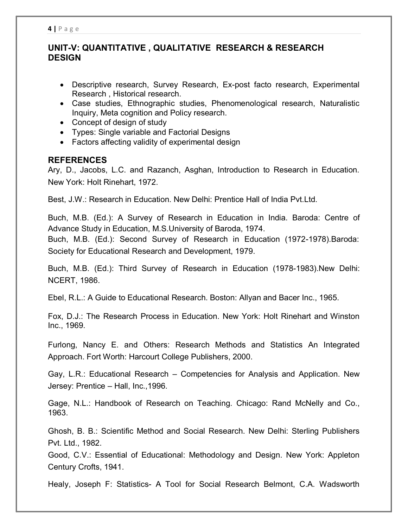#### **UNIT-V: QUANTITATIVE , QUALITATIVE RESEARCH & RESEARCH DESIGN**

- Descriptive research, Survey Research, Ex-post facto research, Experimental Research , Historical research.
- Case studies, Ethnographic studies, Phenomenological research, Naturalistic Inquiry, Meta cognition and Policy research.
- Concept of design of study
- Types: Single variable and Factorial Designs
- Factors affecting validity of experimental design

#### **REFERENCES**

Ary, D., Jacobs, L.C. and Razanch, Asghan, Introduction to Research in Education. New York: Holt Rinehart, 1972.

Best, J.W.: Research in Education. New Delhi: Prentice Hall of India Pvt.Ltd.

Buch, M.B. (Ed.): A Survey of Research in Education in India. Baroda: Centre of Advance Study in Education, M.S.University of Baroda, 1974.

Buch, M.B. (Ed.): Second Survey of Research in Education (1972-1978).Baroda: Society for Educational Research and Development, 1979.

Buch, M.B. (Ed.): Third Survey of Research in Education (1978-1983).New Delhi: NCERT, 1986.

Ebel, R.L.: A Guide to Educational Research. Boston: Allyan and Bacer Inc., 1965.

Fox, D.J.: The Research Process in Education. New York: Holt Rinehart and Winston Inc., 1969.

Furlong, Nancy E. and Others: Research Methods and Statistics An Integrated Approach. Fort Worth: Harcourt College Publishers, 2000.

Gay, L.R.: Educational Research – Competencies for Analysis and Application. New Jersey: Prentice – Hall, Inc.,1996.

Gage, N.L.: Handbook of Research on Teaching. Chicago: Rand McNelly and Co., 1963.

Ghosh, B. B.: Scientific Method and Social Research. New Delhi: Sterling Publishers Pvt. Ltd., 1982.

Good, C.V.: Essential of Educational: Methodology and Design. New York: Appleton Century Crofts, 1941.

Healy, Joseph F: Statistics- A Tool for Social Research Belmont, C.A. Wadsworth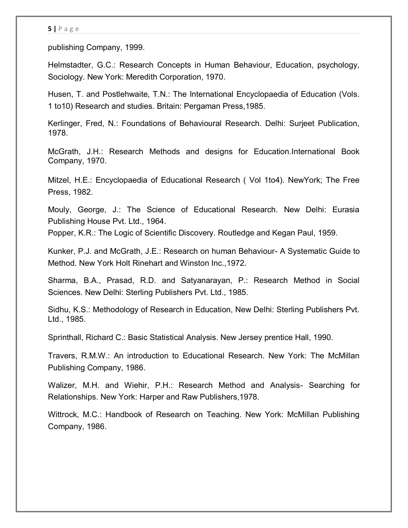#### **5 |** P a g e

publishing Company, 1999.

Helmstadter, G.C.: Research Concepts in Human Behaviour, Education, psychology, Sociology. New York: Meredith Corporation, 1970.

Husen, T. and Postlehwaite, T.N.: The International Encyclopaedia of Education (Vols. 1 to10) Research and studies. Britain: Pergaman Press,1985.

Kerlinger, Fred, N.: Foundations of Behavioural Research. Delhi: Surjeet Publication, 1978.

McGrath, J.H.: Research Methods and designs for Education.International Book Company, 1970.

Mitzel, H.E.: Encyclopaedia of Educational Research ( Vol 1to4). NewYork; The Free Press, 1982.

Mouly, George, J.: The Science of Educational Research. New Delhi: Eurasia Publishing House Pvt. Ltd., 1964.

Popper, K.R.: The Logic of Scientific Discovery. Routledge and Kegan Paul, 1959.

Kunker, P.J. and McGrath, J.E.: Research on human Behaviour- A Systematic Guide to Method. New York Holt Rinehart and Winston Inc.,1972.

Sharma, B.A., Prasad, R.D. and Satyanarayan, P.: Research Method in Social Sciences. New Delhi: Sterling Publishers Pvt. Ltd., 1985.

Sidhu, K.S.: Methodology of Research in Education, New Delhi: Sterling Publishers Pvt. Ltd., 1985.

Sprinthall, Richard C.: Basic Statistical Analysis. New Jersey prentice Hall, 1990.

Travers, R.M.W.: An introduction to Educational Research. New York: The McMillan Publishing Company, 1986.

Walizer, M.H. and Wiehir, P.H.: Research Method and Analysis- Searching for Relationships. New York: Harper and Raw Publishers,1978.

Wittrock, M.C.: Handbook of Research on Teaching. New York: McMillan Publishing Company, 1986.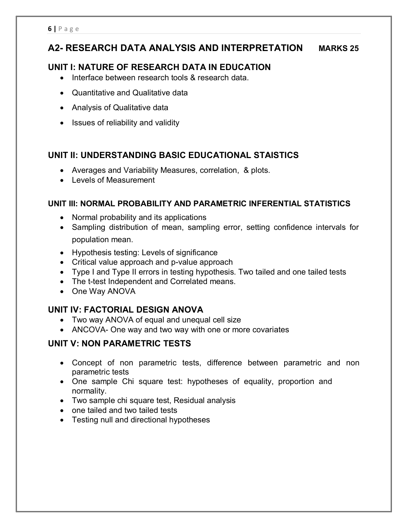#### **A2- RESEARCH DATA ANALYSIS AND INTERPRETATION MARKS 25**

#### **UNIT I: NATURE OF RESEARCH DATA IN EDUCATION**

- Interface between research tools & research data.
- Quantitative and Qualitative data
- Analysis of Qualitative data
- Issues of reliability and validity

#### **UNIT II: UNDERSTANDING BASIC EDUCATIONAL STAISTICS**

- Averages and Variability Measures, correlation, & plots.
- Levels of Measurement

#### **UNIT III: NORMAL PROBABILITY AND PARAMETRIC INFERENTIAL STATISTICS**

- Normal probability and its applications
- Sampling distribution of mean, sampling error, setting confidence intervals for population mean.
- Hypothesis testing: Levels of significance
- Critical value approach and p-value approach
- Type I and Type II errors in testing hypothesis. Two tailed and one tailed tests
- The t-test Independent and Correlated means.
- One Way ANOVA

#### **UNIT IV: FACTORIAL DESIGN ANOVA**

- Two way ANOVA of equal and unequal cell size
- ANCOVA- One way and two way with one or more covariates

#### **UNIT V: NON PARAMETRIC TESTS**

- Concept of non parametric tests, difference between parametric and non parametric tests
- One sample Chi square test: hypotheses of equality, proportion and normality.
- Two sample chi square test, Residual analysis
- one tailed and two tailed tests
- Testing null and directional hypotheses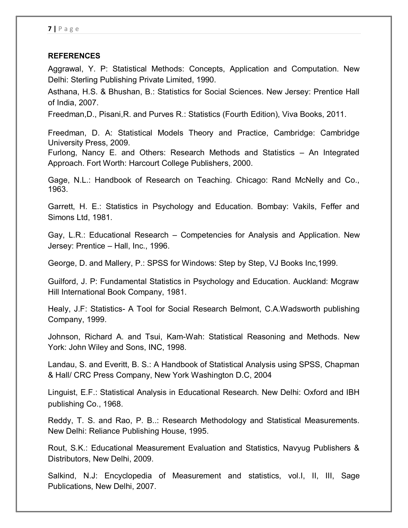#### **REFERENCES**

Aggrawal, Y. P: Statistical Methods: Concepts, Application and Computation. New Delhi: Sterling Publishing Private Limited, 1990.

Asthana, H.S. & Bhushan, B.: Statistics for Social Sciences. New Jersey: Prentice Hall of India, 2007.

Freedman,D., Pisani,R. and Purves R.: Statistics (Fourth Edition), Viva Books, 2011.

Freedman, D. A: Statistical Models Theory and Practice, Cambridge: Cambridge University Press, 2009.

Furlong, Nancy E. and Others: Research Methods and Statistics – An Integrated Approach. Fort Worth: Harcourt College Publishers, 2000.

Gage, N.L.: Handbook of Research on Teaching. Chicago: Rand McNelly and Co., 1963.

Garrett, H. E.: Statistics in Psychology and Education. Bombay: Vakils, Feffer and Simons Ltd, 1981.

Gay, L.R.: Educational Research – Competencies for Analysis and Application. New Jersey: Prentice – Hall, Inc., 1996.

George, D. and Mallery, P.: SPSS for Windows: Step by Step, VJ Books Inc,1999.

Guilford, J. P: Fundamental Statistics in Psychology and Education. Auckland: Mcgraw Hill International Book Company, 1981.

Healy, J.F: Statistics- A Tool for Social Research Belmont, C.A.Wadsworth publishing Company, 1999.

Johnson, Richard A. and Tsui, Kam-Wah: Statistical Reasoning and Methods. New York: John Wiley and Sons, INC, 1998.

Landau, S. and Everitt, B. S.: A Handbook of Statistical Analysis using SPSS, Chapman & Hall/ CRC Press Company, New York Washington D.C, 2004

Linguist, E.F.: Statistical Analysis in Educational Research. New Delhi: Oxford and IBH publishing Co., 1968.

Reddy, T. S. and Rao, P. B..: Research Methodology and Statistical Measurements. New Delhi: Reliance Publishing House, 1995.

Rout, S.K.: Educational Measurement Evaluation and Statistics, Navyug Publishers & Distributors, New Delhi, 2009.

Salkind, N.J: Encyclopedia of Measurement and statistics, vol.I, II, III, Sage Publications, New Delhi, 2007.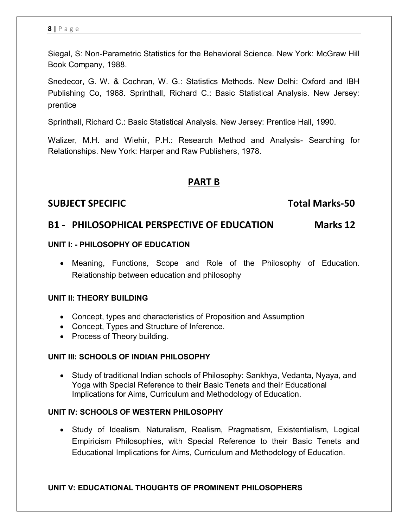Siegal, S: Non-Parametric Statistics for the Behavioral Science. New York: McGraw Hill Book Company, 1988.

Snedecor, G. W. & Cochran, W. G.: Statistics Methods. New Delhi: Oxford and IBH Publishing Co, 1968. Sprinthall, Richard C.: Basic Statistical Analysis. New Jersey: prentice

Sprinthall, Richard C.: Basic Statistical Analysis. New Jersey: Prentice Hall, 1990.

Walizer, M.H. and Wiehir, P.H.: Research Method and Analysis- Searching for Relationships. New York: Harper and Raw Publishers, 1978.

#### **PART B**

#### **SUBJECT SPECIFIC TOTAL SUBJECT SPECIFIC**

#### **B1 - PHILOSOPHICAL PERSPECTIVE OF EDUCATION Marks 12**

#### **UNIT I: - PHILOSOPHY OF EDUCATION**

 Meaning, Functions, Scope and Role of the Philosophy of Education. Relationship between education and philosophy

#### **UNIT II: THEORY BUILDING**

- Concept, types and characteristics of Proposition and Assumption
- Concept, Types and Structure of Inference.
- Process of Theory building.

#### **UNIT III: SCHOOLS OF INDIAN PHILOSOPHY**

 Study of traditional Indian schools of Philosophy: Sankhya, Vedanta, Nyaya, and Yoga with Special Reference to their Basic Tenets and their Educational Implications for Aims, Curriculum and Methodology of Education.

#### **UNIT IV: SCHOOLS OF WESTERN PHILOSOPHY**

 Study of Idealism, Naturalism, Realism, Pragmatism, Existentialism, Logical Empiricism Philosophies, with Special Reference to their Basic Tenets and Educational Implications for Aims, Curriculum and Methodology of Education.

#### **UNIT V: EDUCATIONAL THOUGHTS OF PROMINENT PHILOSOPHERS**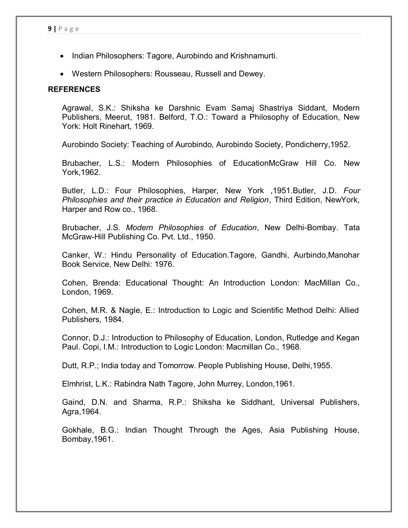- Indian Philosophers: Tagore, Aurobindo and Krishnamurti.
- Western Philosophers: Rousseau, Russell and Dewey.

#### **REFERENCES**

Agrawal, S.K.: Shiksha ke Darshnic Evam Samaj Shastriya Siddant, Modern Publishers, Meerut, 1981. Belford, T.O.: Toward a Philosophy of Education, New York: Holt Rinehart, 1969.

Aurobindo Society: Teaching of Aurobindo, Aurobindo Society, Pondicherry,1952.

Brubacher, L.S.: Modern Philosophies of EducationMcGraw Hill Co. New York,1962.

Butler, L.D.: Four Philosophies, Harper, New York ,1951.Butler, J.D. *Four Philosophies and their practice in Education and Religion*, Third Edition, NewYork, Harper and Row co., 1968.

Brubacher, J.S. *Modern Philosophies of Education*, New Delhi-Bombay. Tata McGraw-Hill Publishing Co. Pvt. Ltd., 1950.

Canker, W.: Hindu Personality of Education.Tagore, Gandhi, Aurbindo,Manohar Book Service, New Delhi: 1976.

Cohen, Brenda: Educational Thought: An Introduction London: MacMillan Co., London, 1969.

Cohen, M.R. & Nagle, E.: Introduction to Logic and Scientific Method Delhi: Allied Publishers, 1984.

Connor, D.J.: Introduction to Philosophy of Education, London, Rutledge and Kegan Paul. Copi, I.M.: Introduction to Logic London: Macmillan Co., 1968.

Dutt, R.P.; India today and Tomorrow. People Publishing House, Delhi,1955.

Elmhrist, L.K.: Rabindra Nath Tagore, John Murrey, London,1961.

Gaind, D.N. and Sharma, R.P.: Shiksha ke Siddhant, Universal Publishers, Agra,1964.

Gokhale, B.G.: Indian Thought Through the Ages, Asia Publishing House, Bombay,1961.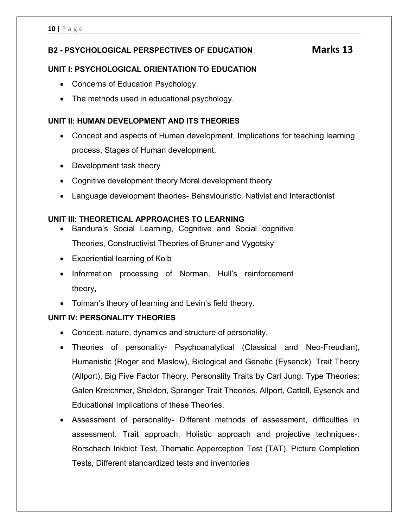#### **B2 - PSYCHOLOGICAL PERSPECTIVES OF EDUCATION Marks 13**

#### **UNIT I: PSYCHOLOGICAL ORIENTATION TO EDUCATION**

- Concerns of Education Psychology.
- The methods used in educational psychology.

#### **UNIT II: HUMAN DEVELOPMENT AND ITS THEORIES**

- Concept and aspects of Human development, Implications for teaching learning process, Stages of Human development,
- Development task theory
- Cognitive development theory Moral development theory
- Language development theories- Behaviouristic, Nativist and Interactionist

#### **UNIT III: THEORETICAL APPROACHES TO LEARNING**

- Bandura's Social Learning, Cognitive and Social cognitive Theories, Constructivist Theories of Bruner and Vygotsky
- Experiential learning of Kolb
- Information processing of Norman, Hull's reinforcement theory,
- Tolman's theory of learning and Levin's field theory.

#### **UNIT IV: PERSONALITY THEORIES**

- Concept, nature, dynamics and structure of personality.
- Theories of personality- Psychoanalytical (Classical and Neo-Freudian), Humanistic (Roger and Maslow), Biological and Genetic (Eysenck), Trait Theory (Allport), Big Five Factor Theory. Personality Traits by Carl Jung. Type Theories: Galen Kretchmer, Sheldon, Spranger Trait Theories. Allport, Cattell, Eysenck and Educational Implications of these Theories.
- Assessment of personality- Different methods of assessment, difficulties in assessment. Trait approach, Holistic approach and projective techniques-. Rorschach Inkblot Test, Thematic Apperception Test (TAT), Picture Completion Tests, Different standardized tests and inventories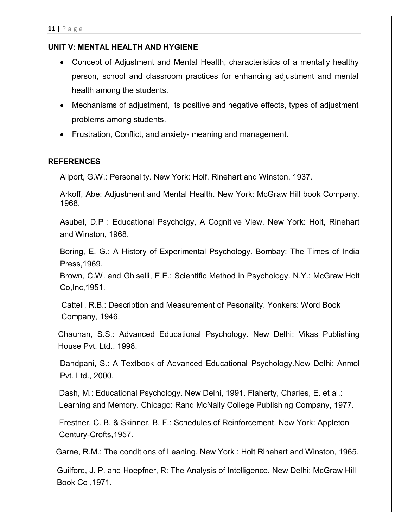#### **UNIT V: MENTAL HEALTH AND HYGIENE**

- Concept of Adjustment and Mental Health, characteristics of a mentally healthy person, school and classroom practices for enhancing adjustment and mental health among the students.
- Mechanisms of adjustment, its positive and negative effects, types of adjustment problems among students.
- Frustration, Conflict, and anxiety- meaning and management.

#### **REFERENCES**

Allport, G.W.: Personality. New York: Holf, Rinehart and Winston, 1937.

Arkoff, Abe: Adjustment and Mental Health. New York: McGraw Hill book Company, 1968.

Asubel, D.P : Educational Psycholgy, A Cognitive View. New York: Holt, Rinehart and Winston, 1968.

Boring, E. G.: A History of Experimental Psychology. Bombay: The Times of India Press,1969.

Brown, C.W. and Ghiselli, E.E.: Scientific Method in Psychology. N.Y.: McGraw Holt Co,Inc,1951.

 Cattell, R.B.: Description and Measurement of Pesonality. Yonkers: Word Book Company, 1946.

Chauhan, S.S.: Advanced Educational Psychology. New Delhi: Vikas Publishing House Pvt. Ltd., 1998.

Dandpani, S.: A Textbook of Advanced Educational Psychology.New Delhi: Anmol Pvt. Ltd., 2000.

 Dash, M.: Educational Psychology. New Delhi, 1991. Flaherty, Charles, E. et al.: Learning and Memory. Chicago: Rand McNally College Publishing Company, 1977.

 Frestner, C. B. & Skinner, B. F.: Schedules of Reinforcement. New York: Appleton Century-Crofts,1957.

Garne, R.M.: The conditions of Leaning. New York : Holt Rinehart and Winston, 1965.

 Guilford, J. P. and Hoepfner, R: The Analysis of Intelligence. New Delhi: McGraw Hill Book Co ,1971.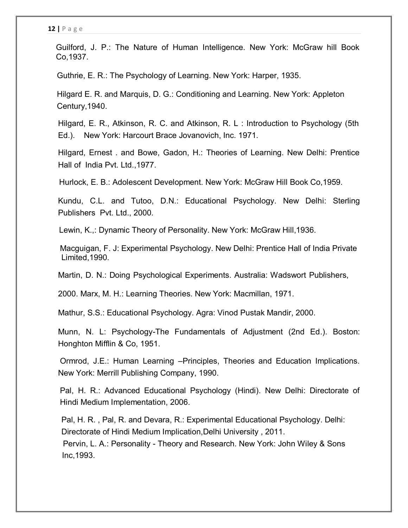Guilford, J. P.: The Nature of Human Intelligence. New York: McGraw hill Book Co,1937.

Guthrie, E. R.: The Psychology of Learning. New York: Harper, 1935.

 Hilgard E. R. and Marquis, D. G.: Conditioning and Learning. New York: Appleton Century,1940.

Hilgard, E. R., Atkinson, R. C. and Atkinson, R. L : Introduction to Psychology (5th Ed.). New York: Harcourt Brace Jovanovich, Inc. 1971.

Hilgard, Ernest . and Bowe, Gadon, H.: Theories of Learning. New Delhi: Prentice Hall of India Pvt. Ltd.,1977.

Hurlock, E. B.: Adolescent Development. New York: McGraw Hill Book Co,1959.

Kundu, C.L. and Tutoo, D.N.: Educational Psychology. New Delhi: Sterling Publishers Pvt. Ltd., 2000.

Lewin, K.,: Dynamic Theory of Personality. New York: McGraw Hill,1936.

Macguigan, F. J: Experimental Psychology. New Delhi: Prentice Hall of India Private Limited,1990.

Martin, D. N.: Doing Psychological Experiments. Australia: Wadswort Publishers,

2000. Marx, M. H.: Learning Theories. New York: Macmillan, 1971.

Mathur, S.S.: Educational Psychology. Agra: Vinod Pustak Mandir, 2000.

Munn, N. L: Psychology-The Fundamentals of Adjustment (2nd Ed.). Boston: Honghton Mifflin & Co, 1951.

Ormrod, J.E.: Human Learning –Principles, Theories and Education Implications. New York: Merrill Publishing Company, 1990.

Pal, H. R.: Advanced Educational Psychology (Hindi). New Delhi: Directorate of Hindi Medium Implementation, 2006.

 Pal, H. R. , Pal, R. and Devara, R.: Experimental Educational Psychology. Delhi: Directorate of Hindi Medium Implication,Delhi University , 2011. Pervin, L. A.: Personality - Theory and Research. New York: John Wiley & Sons Inc,1993.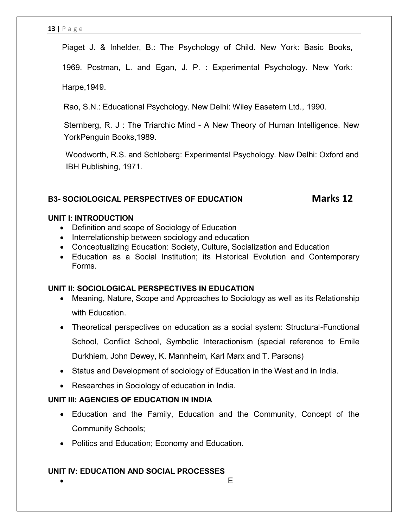Piaget J. & Inhelder, B.: The Psychology of Child. New York: Basic Books,

1969. Postman, L. and Egan, J. P. : Experimental Psychology. New York:

Harpe,1949.

Rao, S.N.: Educational Psychology. New Delhi: Wiley Easetern Ltd., 1990.

Sternberg, R. J : The Triarchic Mind - A New Theory of Human Intelligence. New YorkPenguin Books,1989.

 Woodworth, R.S. and Schloberg: Experimental Psychology. New Delhi: Oxford and IBH Publishing, 1971.

#### **B3- SOCIOLOGICAL PERSPECTIVES OF EDUCATION Marks 12**

#### **UNIT I: INTRODUCTION**

- Definition and scope of Sociology of Education
- Interrelationship between sociology and education
- Conceptualizing Education: Society, Culture, Socialization and Education
- Education as a Social Institution; its Historical Evolution and Contemporary Forms.

#### **UNIT II: SOCIOLOGICAL PERSPECTIVES IN EDUCATION**

- Meaning, Nature, Scope and Approaches to Sociology as well as its Relationship with Education.
- Theoretical perspectives on education as a social system: Structural-Functional School, Conflict School, Symbolic Interactionism (special reference to Emile Durkhiem, John Dewey, K. Mannheim, Karl Marx and T. Parsons)
- Status and Development of sociology of Education in the West and in India.
- Researches in Sociology of education in India.

#### **UNIT III: AGENCIES OF EDUCATION IN INDIA**

- Education and the Family, Education and the Community, Concept of the Community Schools;
- Politics and Education; Economy and Education.

#### **UNIT IV: EDUCATION AND SOCIAL PROCESSES**

 $\bullet$  Equation of the contract of the contract of  $\mathbb{E}_{\mathbb{E}_{\mathbb{E}_{\mathbb{E}_{\mathbb{E}}}}}$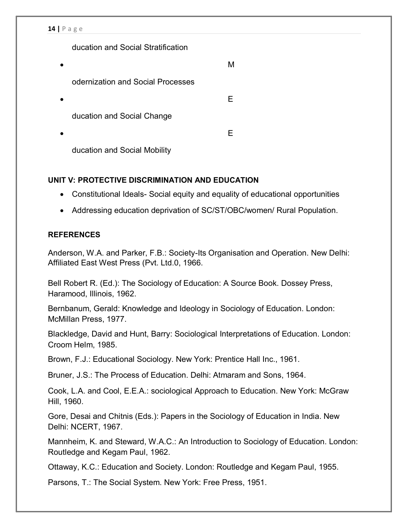#### **14 |** P a g e

ducation and Social Stratification

| odernization and Social Processes |  |
|-----------------------------------|--|
|                                   |  |
| ducation and Social Change        |  |
|                                   |  |
| ducation and Social Mobility      |  |

#### **UNIT V: PROTECTIVE DISCRIMINATION AND EDUCATION**

- Constitutional Ideals- Social equity and equality of educational opportunities
- Addressing education deprivation of SC/ST/OBC/women/ Rural Population.

#### **REFERENCES**

Anderson, W.A. and Parker, F.B.: Society-Its Organisation and Operation. New Delhi: Affiliated East West Press (Pvt. Ltd.0, 1966.

Bell Robert R. (Ed.): The Sociology of Education: A Source Book. Dossey Press, Haramood, Illinois, 1962.

Bernbanum, Gerald: Knowledge and Ideology in Sociology of Education. London: McMillan Press, 1977.

Blackledge, David and Hunt, Barry: Sociological Interpretations of Education. London: Croom Helm, 1985.

Brown, F.J.: Educational Sociology. New York: Prentice Hall Inc., 1961.

Bruner, J.S.: The Process of Education. Delhi: Atmaram and Sons, 1964.

Cook, L.A. and Cool, E.E.A.: sociological Approach to Education. New York: McGraw Hill, 1960.

Gore, Desai and Chitnis (Eds.): Papers in the Sociology of Education in India. New Delhi: NCERT, 1967.

Mannheim, K. and Steward, W.A.C.: An Introduction to Sociology of Education. London: Routledge and Kegam Paul, 1962.

Ottaway, K.C.: Education and Society. London: Routledge and Kegam Paul, 1955.

Parsons, T.: The Social System. New York: Free Press, 1951.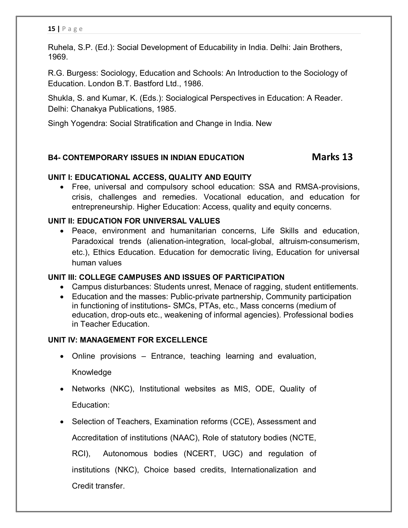Ruhela, S.P. (Ed.): Social Development of Educability in India. Delhi: Jain Brothers, 1969.

R.G. Burgess: Sociology, Education and Schools: An Introduction to the Sociology of Education. London B.T. Bastford Ltd., 1986.

Shukla, S. and Kumar, K. (Eds.): Socialogical Perspectives in Education: A Reader. Delhi: Chanakya Publications, 1985.

Singh Yogendra: Social Stratification and Change in India. New

#### **B4- CONTEMPORARY ISSUES IN INDIAN EDUCATION Marks 13**

#### **UNIT I: EDUCATIONAL ACCESS, QUALITY AND EQUITY**

 Free, universal and compulsory school education: SSA and RMSA-provisions, crisis, challenges and remedies. Vocational education, and education for entrepreneurship. Higher Education: Access, quality and equity concerns.

#### **UNIT II: EDUCATION FOR UNIVERSAL VALUES**

 Peace, environment and humanitarian concerns, Life Skills and education, Paradoxical trends (alienation-integration, local-global, altruism-consumerism, etc.), Ethics Education. Education for democratic living, Education for universal human values

#### **UNIT III: COLLEGE CAMPUSES AND ISSUES OF PARTICIPATION**

- Campus disturbances: Students unrest, Menace of ragging, student entitlements.
- Education and the masses: Public-private partnership, Community participation in functioning of institutions- SMCs, PTAs, etc., Mass concerns (medium of education, drop-outs etc., weakening of informal agencies). Professional bodies in Teacher Education.

#### **UNIT IV: MANAGEMENT FOR EXCELLENCE**

- Online provisions Entrance, teaching learning and evaluation, Knowledge
- Networks (NKC), Institutional websites as MIS, ODE, Quality of Education:
- Selection of Teachers, Examination reforms (CCE), Assessment and Accreditation of institutions (NAAC), Role of statutory bodies (NCTE, RCI), Autonomous bodies (NCERT, UGC) and regulation of institutions (NKC), Choice based credits, Internationalization and Credit transfer.